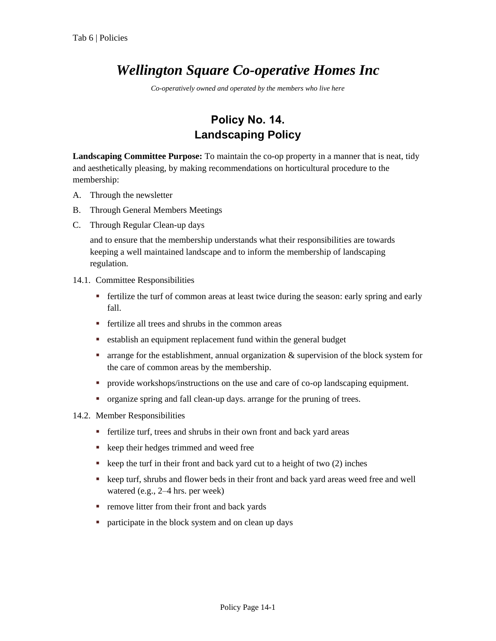## *Wellington Square Co-operative Homes Inc*

*Co-operatively owned and operated by the members who live here*

## **Policy No. 14. Landscaping Policy**

**Landscaping Committee Purpose:** To maintain the co-op property in a manner that is neat, tidy and aesthetically pleasing, by making recommendations on horticultural procedure to the membership:

- A. Through the newsletter
- B. Through General Members Meetings
- C. Through Regular Clean-up days

and to ensure that the membership understands what their responsibilities are towards keeping a well maintained landscape and to inform the membership of landscaping regulation.

- 14.1. Committee Responsibilities
	- fertilize the turf of common areas at least twice during the season: early spring and early fall.
	- **Fertilize all trees and shrubs in the common areas**
	- establish an equipment replacement fund within the general budget
	- **a** arrange for the establishment, annual organization & supervision of the block system for the care of common areas by the membership.
	- provide workshops/instructions on the use and care of co-op landscaping equipment.
	- organize spring and fall clean-up days. arrange for the pruning of trees.
- 14.2. Member Responsibilities
	- fertilize turf, trees and shrubs in their own front and back yard areas
	- keep their hedges trimmed and weed free
	- $\bullet$  keep the turf in their front and back yard cut to a height of two (2) inches
	- keep turf, shrubs and flower beds in their front and back yard areas weed free and well watered (e.g., 2–4 hrs. per week)
	- **•** remove litter from their front and back yards
	- participate in the block system and on clean up days